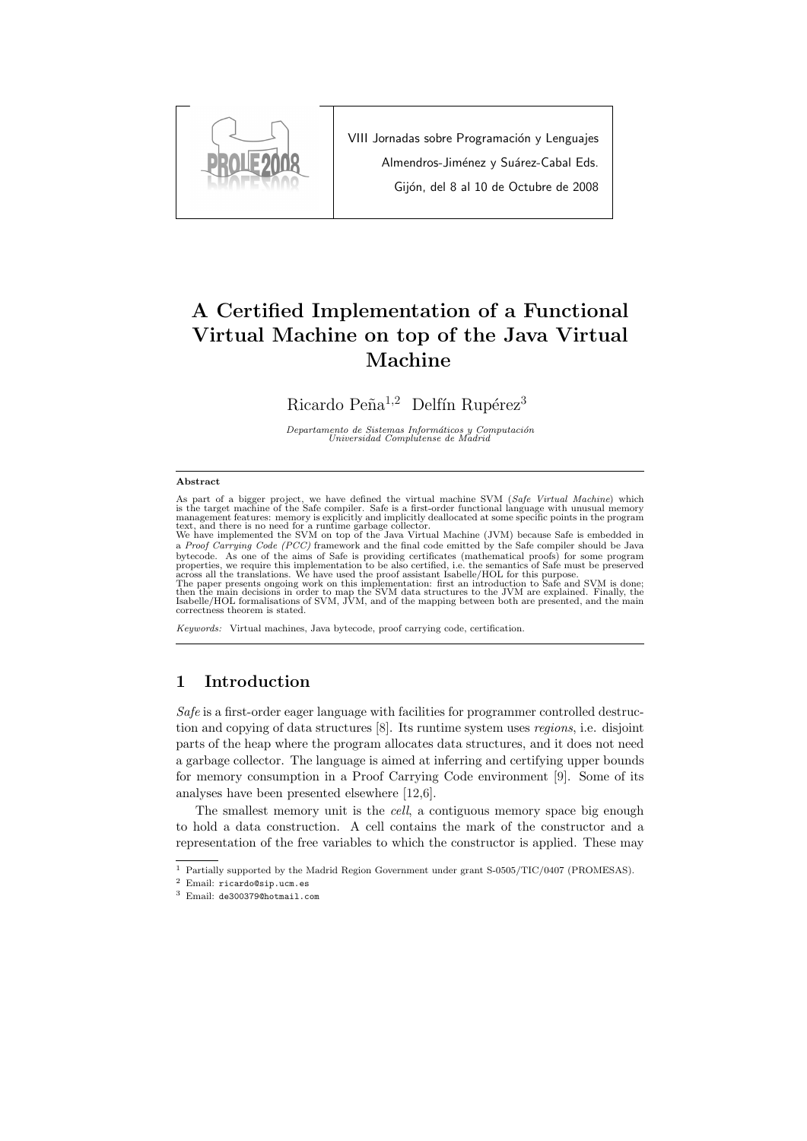

VIII Jornadas sobre Programación y Lenguajes Almendros-Jiménez y Suárez-Cabal Eds. Gijón, del 8 al 10 de Octubre de 2008

# A Certified Implementation of a Functional Virtual Machine on top of the Java Virtual Machine

Ricardo Peña<sup>1,2</sup> Delfín Rupérez<sup>3</sup>

Departamento de Sistemas Informáticos y Computación<br>Universidad Complutense de Madrid

#### Abstract

As part of a bigger project, we have defined the virtual machine SVM (*Safe Virtual Machine*) which<br>is the target machine of the Safe compiler. Safe is a first-order functional language with unusual memory<br>management feat

text, and there is no need for a runtime garbage collector.<br>We have implemented the SVM on top of the Java Virtual Machine (JVM) because Safe is embedded in<br>a *Proof Carrying Code (PCC)* framework and the final code emitte bytecode. As one of the aims of Safe is providing certificates (mathematical proofs) for some program<br>properties, we require this implementation to be also certified, i.e. the semantics of Safe must be preserved<br>across all then the main decisions in order to map the SVM data structures to the JVM are explained. Finally, the Isabelle/HOL formalisations of SVM, JVM, and of the mapping between both are presented, and the main

correctness theorem is stated.

Keywords: Virtual machines, Java bytecode, proof carrying code, certification.

### 1 Introduction

Safe is a first-order eager language with facilities for programmer controlled destruction and copying of data structures [8]. Its runtime system uses regions, i.e. disjoint parts of the heap where the program allocates data structures, and it does not need a garbage collector. The language is aimed at inferring and certifying upper bounds for memory consumption in a Proof Carrying Code environment [9]. Some of its analyses have been presented elsewhere [12,6].

The smallest memory unit is the *cell*, a contiguous memory space big enough to hold a data construction. A cell contains the mark of the constructor and a representation of the free variables to which the constructor is applied. These may

<sup>1</sup> Partially supported by the Madrid Region Government under grant S-0505/TIC/0407 (PROMESAS).

<sup>2</sup> Email: ricardo@sip.ucm.es

<sup>3</sup> Email: de300379@hotmail.com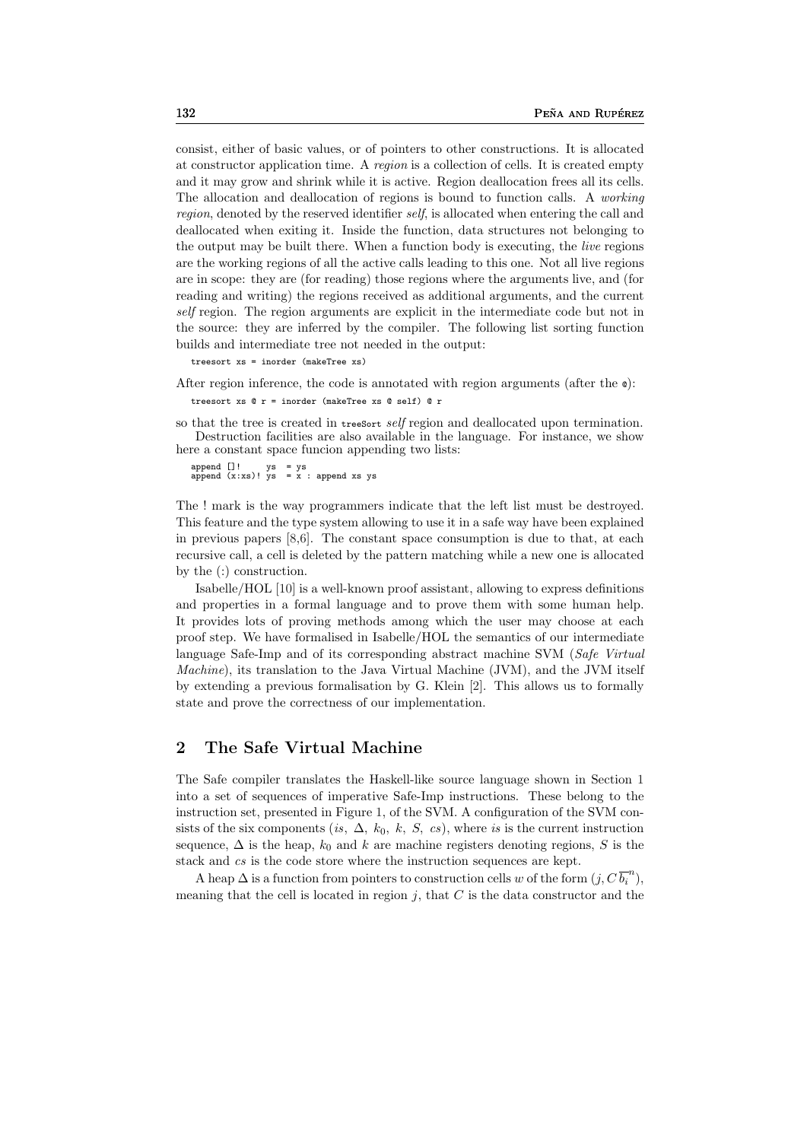consist, either of basic values, or of pointers to other constructions. It is allocated at constructor application time. A region is a collection of cells. It is created empty and it may grow and shrink while it is active. Region deallocation frees all its cells. The allocation and deallocation of regions is bound to function calls. A working region, denoted by the reserved identifier self, is allocated when entering the call and deallocated when exiting it. Inside the function, data structures not belonging to the output may be built there. When a function body is executing, the live regions are the working regions of all the active calls leading to this one. Not all live regions are in scope: they are (for reading) those regions where the arguments live, and (for reading and writing) the regions received as additional arguments, and the current self region. The region arguments are explicit in the intermediate code but not in the source: they are inferred by the compiler. The following list sorting function builds and intermediate tree not needed in the output:

treesort xs = inorder (makeTree xs)

After region inference, the code is annotated with region arguments (after the  $\phi$ ):

treesort xs @ r = inorder (makeTree xs @ self) @ r

so that the tree is created in treesort *self* region and deallocated upon termination. Destruction facilities are also available in the language. For instance, we show here a constant space funcion appending two lists:

append []! ys = ys<br>append (x:xs)! ys = x : append xs ys

The ! mark is the way programmers indicate that the left list must be destroyed. This feature and the type system allowing to use it in a safe way have been explained in previous papers [8,6]. The constant space consumption is due to that, at each recursive call, a cell is deleted by the pattern matching while a new one is allocated by the (:) construction.

Isabelle/HOL [10] is a well-known proof assistant, allowing to express definitions and properties in a formal language and to prove them with some human help. It provides lots of proving methods among which the user may choose at each proof step. We have formalised in Isabelle/HOL the semantics of our intermediate language Safe-Imp and of its corresponding abstract machine SVM (Safe Virtual Machine), its translation to the Java Virtual Machine (JVM), and the JVM itself by extending a previous formalisation by G. Klein [2]. This allows us to formally state and prove the correctness of our implementation.

### 2 The Safe Virtual Machine

The Safe compiler translates the Haskell-like source language shown in Section 1 into a set of sequences of imperative Safe-Imp instructions. These belong to the instruction set, presented in Figure 1, of the SVM. A configuration of the SVM consists of the six components (is,  $\Delta$ ,  $k_0$ , k, S, cs), where is is the current instruction sequence,  $\Delta$  is the heap,  $k_0$  and k are machine registers denoting regions, S is the stack and cs is the code store where the instruction sequences are kept.

A heap  $\Delta$  is a function from pointers to construction cells w of the form  $(j, C\overline{b_i}^n)$ , meaning that the cell is located in region  $j$ , that  $C$  is the data constructor and the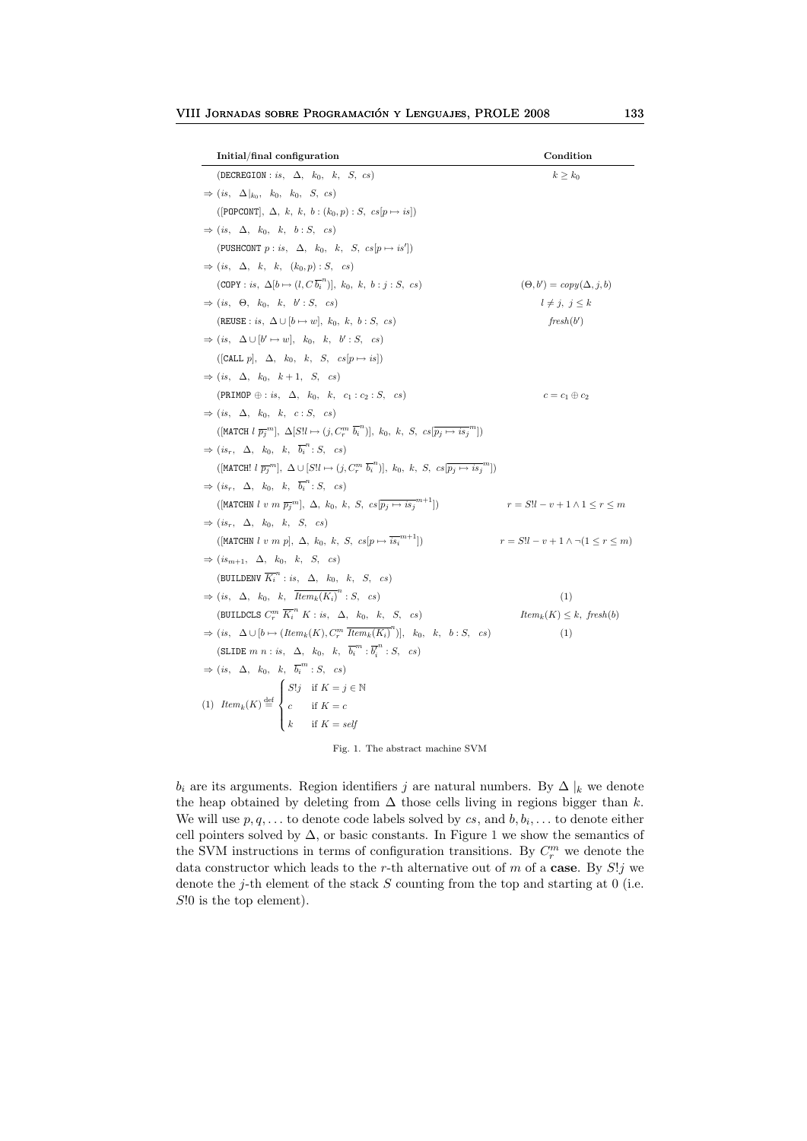| Initial/final configuration                                                                                                                                             | Condition                                     |
|-------------------------------------------------------------------------------------------------------------------------------------------------------------------------|-----------------------------------------------|
| (DECREGION : is, $\Delta$ , $k_0$ , k, S, cs)                                                                                                                           | $k \geq k_0$                                  |
| $\Rightarrow$ (is, $\Delta  _{k_0}$ , $k_0$ , $k_0$ , $S$ , $cs$ )                                                                                                      |                                               |
| ([POPCONT], $\Delta$ , k, k, b: $(k_0, p)$ : S, $cs[p \mapsto is]$ )                                                                                                    |                                               |
| $\Rightarrow (is, \Delta, k_0, k, b : S, cs)$                                                                                                                           |                                               |
| (PUSHCONT $p : is, \Delta, k_0, k, S, cs[p \mapsto is'])$                                                                                                               |                                               |
| $\Rightarrow$ (is, $\Delta$ , k, k, $(k_0, p) : S$ , cs)                                                                                                                |                                               |
| $(COPY : is, \Delta[b \mapsto (l, C\overline{b_i}^n)], k_0, k, b : j : S, cs)$                                                                                          | $(\Theta, b') = copy(\Delta, j, b)$           |
| $\Rightarrow$ (is, $\Theta$ , $k_0$ , k, $b'$ : S, cs)                                                                                                                  | $l \neq j, j \leq k$                          |
| (REUSE : is, $\Delta \cup [b \mapsto w]$ , $k_0$ , $k$ , $b : S$ , $cs$ )                                                                                               | ${\it fresh}(b')$                             |
| $\Rightarrow (is, \Delta \cup [b' \mapsto w], k_0, k, b': S, cs)$                                                                                                       |                                               |
| ([CALL $p$ ], $\Delta$ , $k_0$ , $k$ , $S$ , $cs[p \mapsto is]$ )                                                                                                       |                                               |
| $\Rightarrow (is, \Delta, k_0, k+1, S, cs)$                                                                                                                             |                                               |
| (PRIMOP $\oplus : is, \Delta, k_0, k, c_1 : c_2 : S, cs$ )                                                                                                              | $c = c_1 \oplus c_2$                          |
| $\Rightarrow$ (is, $\Delta$ , $k_0$ , k, c: S, cs)                                                                                                                      |                                               |
| $(\begin{bmatrix} \text{MATCH} \ l \ \overline{p_j}^m \end{bmatrix}, \Delta [S]l \mapsto (j, C_r^m \ \overline{b_i}^n)], k_0, k, S, cs[\overline{p_j \mapsto is_j}^m])$ |                                               |
| $\Rightarrow$ $(is_r, \Delta, k_0, k, \overline{b_i}^n : S, cs)$                                                                                                        |                                               |
| $(\text{[MATCH! } l \overline{p_j}^m], \Delta \cup [S]l \mapsto (j, C_r^m \overline{b_i}^n)], k_0, k, S, cs[\overline{p_j \mapsto is_j}^m])$                            |                                               |
| $\Rightarrow$ $(is_r, \Delta, k_0, k, \overline{b_i}^n : S, cs)$                                                                                                        |                                               |
| $([MATCHN l v m \overline{p_j}m], \Delta, k_0, k, S, cs[\overline{p_j \mapsto is_j}^{m+1}])$                                                                            | $r = S!l - v + 1 \wedge 1 \leq r \leq m$      |
| $\Rightarrow$ $(is_r, \Delta, k_0, k, S, cs)$                                                                                                                           |                                               |
| $([\mathtt{MATCHN}~l~v~m~p],~\Delta,~k_0,~k,~S,~cs[p \mapsto \overline{is_i}^{m+1}])$                                                                                   | $r = S!l - v + 1 \wedge \neg (1 \le r \le m)$ |
| $\Rightarrow$ $(is_{m+1}, \Delta, k_0, k, S, cs)$                                                                                                                       |                                               |
| (BUILDENV $\overline{K_i}^n : i s, \Delta, k_0, k, S, cs$ )                                                                                                             |                                               |
| $\Rightarrow (is, \Delta, k_0, k, \overline{Item_k(K_i)}^n : S, cs)$                                                                                                    | (1)                                           |
| (BUILDCLS $C_r^m \overline{K_i}^n K : is, \Delta, k_0, k, S, cs)$                                                                                                       | $Item_k(K) \leq k$ , fresh(b)                 |
| $\Rightarrow$ (is, $\Delta \cup [b \mapsto (Item_k(K), C_r^m \ \overline{Item_k(K_i)}^n)], k_0, k, b : S, cs)$                                                          | (1)                                           |
| (SLIDE $m n : is, \Delta, k_0, k, \overline{b_i}^m : \overline{b_i}^n : S, cs)$                                                                                         |                                               |
| $\Rightarrow (is, \Delta, k_0, k, \overline{b_i}^m : S, cs)$                                                                                                            |                                               |
| (1) $Item_k(K) \stackrel{\text{def}}{=} \begin{cases} S!j & \text{if } K = j \in \mathbb{N} \\ c & \text{if } K = c \\ k & \text{if } K = self \end{cases}$             |                                               |
|                                                                                                                                                                         |                                               |
|                                                                                                                                                                         |                                               |

Fig. 1. The abstract machine  $\mathop{\rm SVM}$ 

 $b_i$  are its arguments. Region identifiers j are natural numbers. By  $\Delta |_k$  we denote the heap obtained by deleting from  $\Delta$  those cells living in regions bigger than  $k$ . We will use  $p, q, \ldots$  to denote code labels solved by  $cs$ , and  $b, b_i, \ldots$  to denote either cell pointers solved by  $\Delta$ , or basic constants. In Figure 1 we show the semantics of the SVM instructions in terms of configuration transitions. By  $C_r^m$  we denote the data constructor which leads to the r-th alternative out of m of a case. By  $S!j$  we denote the j-th element of the stack  $S$  counting from the top and starting at 0 (i.e.  $S!0$  is the top element).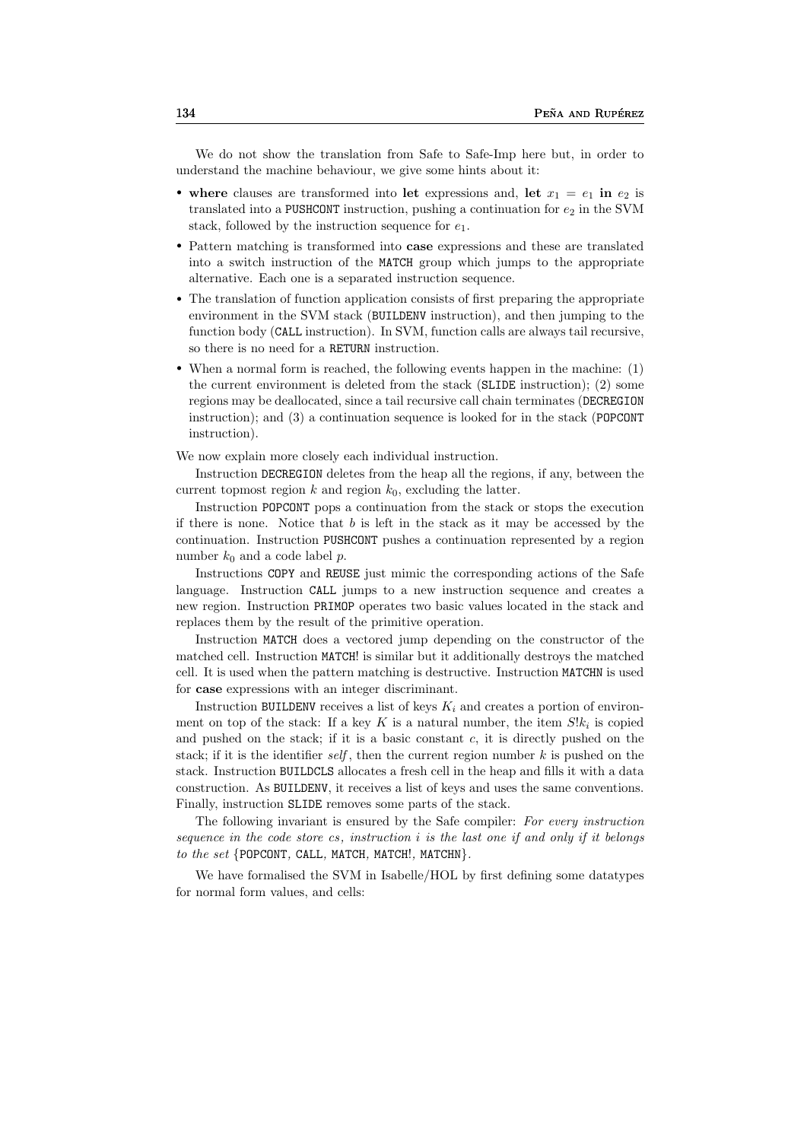We do not show the translation from Safe to Safe-Imp here but, in order to understand the machine behaviour, we give some hints about it:

- where clauses are transformed into let expressions and, let  $x_1 = e_1$  in  $e_2$  is translated into a PUSHCONT instruction, pushing a continuation for  $e_2$  in the SVM stack, followed by the instruction sequence for  $e_1$ .
- Pattern matching is transformed into **case** expressions and these are translated into a switch instruction of the MATCH group which jumps to the appropriate alternative. Each one is a separated instruction sequence.
- The translation of function application consists of first preparing the appropriate environment in the SVM stack (BUILDENV instruction), and then jumping to the function body (CALL instruction). In SVM, function calls are always tail recursive, so there is no need for a RETURN instruction.
- When a normal form is reached, the following events happen in the machine: (1) the current environment is deleted from the stack (SLIDE instruction); (2) some regions may be deallocated, since a tail recursive call chain terminates (DECREGION instruction); and (3) a continuation sequence is looked for in the stack (POPCONT instruction).

We now explain more closely each individual instruction.

Instruction DECREGION deletes from the heap all the regions, if any, between the current topmost region  $k$  and region  $k_0$ , excluding the latter.

Instruction POPCONT pops a continuation from the stack or stops the execution if there is none. Notice that  $b$  is left in the stack as it may be accessed by the continuation. Instruction PUSHCONT pushes a continuation represented by a region number  $k_0$  and a code label p.

Instructions COPY and REUSE just mimic the corresponding actions of the Safe language. Instruction CALL jumps to a new instruction sequence and creates a new region. Instruction PRIMOP operates two basic values located in the stack and replaces them by the result of the primitive operation.

Instruction MATCH does a vectored jump depending on the constructor of the matched cell. Instruction MATCH! is similar but it additionally destroys the matched cell. It is used when the pattern matching is destructive. Instruction MATCHN is used for case expressions with an integer discriminant.

Instruction BUILDENV receives a list of keys  $K_i$  and creates a portion of environment on top of the stack: If a key K is a natural number, the item  $S\&i$  is copied and pushed on the stack; if it is a basic constant  $c$ , it is directly pushed on the stack; if it is the identifier self, then the current region number  $k$  is pushed on the stack. Instruction BUILDCLS allocates a fresh cell in the heap and fills it with a data construction. As BUILDENV, it receives a list of keys and uses the same conventions. Finally, instruction SLIDE removes some parts of the stack.

The following invariant is ensured by the Safe compiler: For every instruction sequence in the code store cs, instruction  $i$  is the last one if and only if it belongs to the set  $\{POPCONT, CALL, MATCH, MATCH!, MATCHN\}.$ 

We have formalised the SVM in Isabelle/HOL by first defining some datatypes for normal form values, and cells: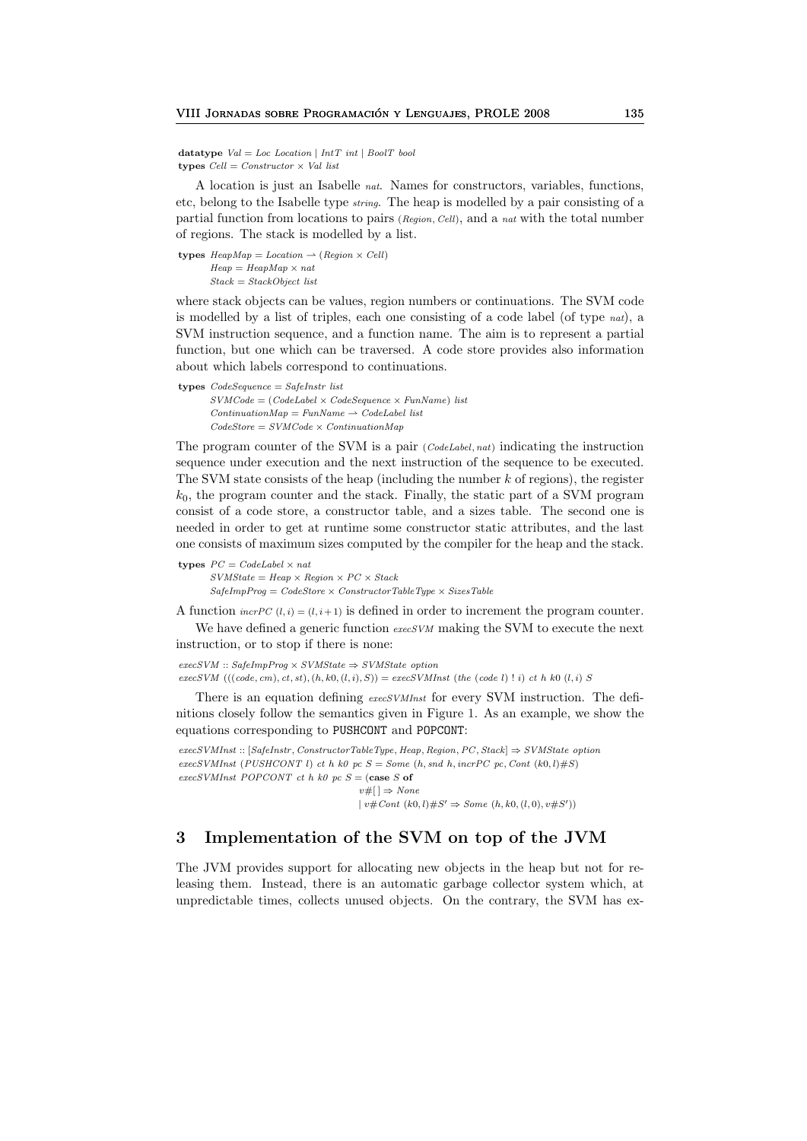datatype  $Val = Loc$  Location | Int $T$  int | BoolT bool types  $Cell = Constructor \times Val$  list

A location is just an Isabelle nat. Names for constructors, variables, functions, etc, belong to the Isabelle type string. The heap is modelled by a pair consisting of a partial function from locations to pairs  $(Region, Cell)$ , and a nat with the total number of regions. The stack is modelled by a list.

types  $HeapMap = Location \rightarrow (Region \times Cell)$  $Heap = HeavyMap \times nat$  $Stack = StackObject$  list

where stack objects can be values, region numbers or continuations. The SVM code is modelled by a list of triples, each one consisting of a code label (of type nat), a SVM instruction sequence, and a function name. The aim is to represent a partial function, but one which can be traversed. A code store provides also information about which labels correspond to continuations.

```
types CodeSequence = SafeInstr list
       SVMCode = (CodeLabel \times CodeSequence \times FunName) list
       ContinuationMap = FunName \rightarrow CodeLabel list
       CodeStore = SVMCode \times ContinuationMap
```
The program counter of the SVM is a pair  $(CodeLabel, nat)$  indicating the instruction sequence under execution and the next instruction of the sequence to be executed. The SVM state consists of the heap (including the number  $k$  of regions), the register  $k_0$ , the program counter and the stack. Finally, the static part of a SVM program consist of a code store, a constructor table, and a sizes table. The second one is needed in order to get at runtime some constructor static attributes, and the last one consists of maximum sizes computed by the compiler for the heap and the stack.

types  $PC = CodeLabel \times nat$  $SVMState =Heap \times Region \times PC \times Stack$  $SafeImpProg = CodeStore \times ConstructorTableType \times SizeTable$ 

A function  $\text{incrPC } (l, i) = (l, i + 1)$  is defined in order to increment the program counter. We have defined a generic function execSVM making the SVM to execute the next instruction, or to stop if there is none:

 $exec SVM :: SafeImpProg \times SVMState \Rightarrow SVMState~option$ execSVM  $(((code, cm), ct, st), (h, k0, (l, i), S)) = execSVMInst$  (the (code l)  $\vdots$  i) ct h k0 (l, i) S

There is an equation defining execSVMInst for every SVM instruction. The definitions closely follow the semantics given in Figure 1. As an example, we show the equations corresponding to PUSHCONT and POPCONT:

 $exec SVMInst :: [SafeInstr, ConstructorTableType,Heap, Region, PC, Stack] \Rightarrow SVMState\ option$  $execSUMInst$  (PUSHCONT l) ct h k0 pc  $S = Some$  (h, snd h, incrPC pc, Cont (k0, l)#S) execSVMInst POPCONT ct h k0 pc  $S =$  (case S of  $v\#$ [ ]  $\Rightarrow$  None  $\mid v \# Cont (k0, l) \# S' \Rightarrow Some (h, k0, (l, 0), v \# S')$ 

## 3 Implementation of the SVM on top of the JVM

The JVM provides support for allocating new objects in the heap but not for releasing them. Instead, there is an automatic garbage collector system which, at unpredictable times, collects unused objects. On the contrary, the SVM has ex-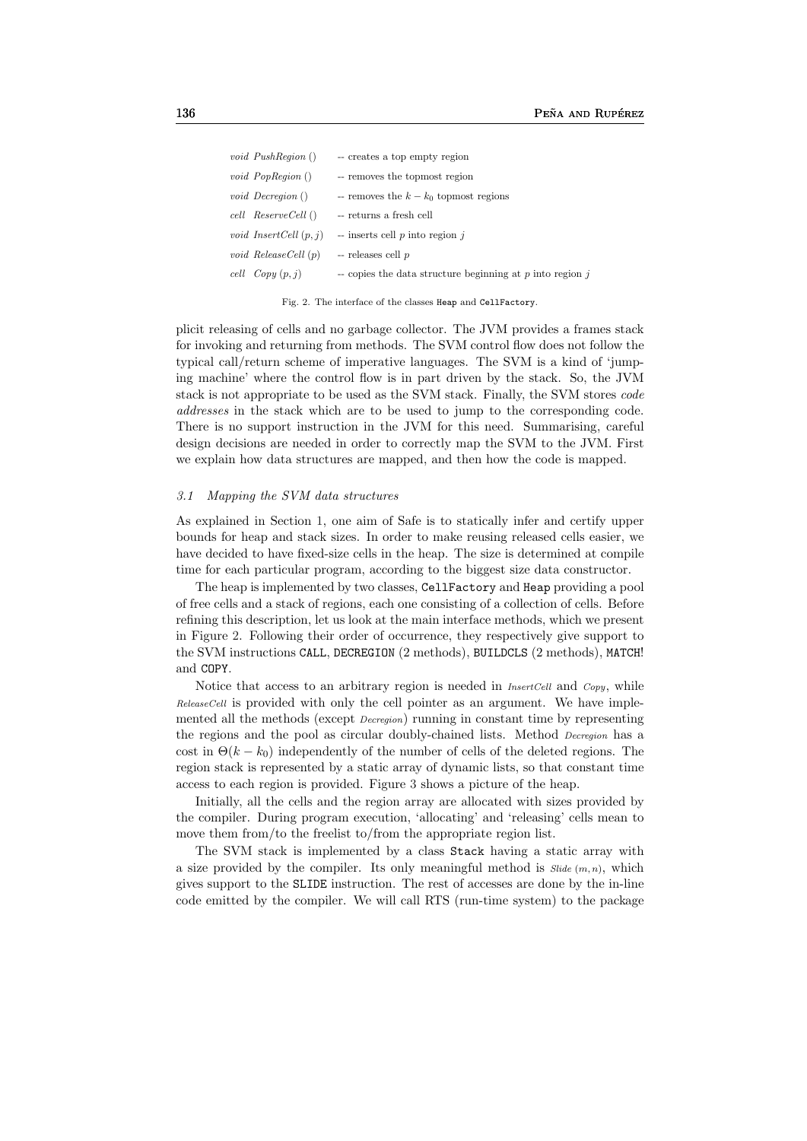| void $PushRegion()$      | -- creates a top empty region                                 |
|--------------------------|---------------------------------------------------------------|
| <i>void PopRegion</i> () | -- removes the topmost region                                 |
| <i>void Decregion</i> () | -- removes the $k - k_0$ topmost regions                      |
| cell ReserveCell()       | -- returns a fresh cell                                       |
| void InsertCell $(p, j)$ | $-$ inserts cell p into region j                              |
| void ReleaseCell (p)     | $-$ releases cell $p$                                         |
| cell $Copy (p, j)$       | $\sim$ copies the data structure beginning at p into region p |

Fig. 2. The interface of the classes Heap and CellFactory.

plicit releasing of cells and no garbage collector. The JVM provides a frames stack for invoking and returning from methods. The SVM control flow does not follow the typical call/return scheme of imperative languages. The SVM is a kind of 'jumping machine' where the control flow is in part driven by the stack. So, the JVM stack is not appropriate to be used as the SVM stack. Finally, the SVM stores code addresses in the stack which are to be used to jump to the corresponding code. There is no support instruction in the JVM for this need. Summarising, careful design decisions are needed in order to correctly map the SVM to the JVM. First we explain how data structures are mapped, and then how the code is mapped.

#### 3.1 Mapping the SVM data structures

As explained in Section 1, one aim of Safe is to statically infer and certify upper bounds for heap and stack sizes. In order to make reusing released cells easier, we have decided to have fixed-size cells in the heap. The size is determined at compile time for each particular program, according to the biggest size data constructor.

The heap is implemented by two classes, CellFactory and Heap providing a pool of free cells and a stack of regions, each one consisting of a collection of cells. Before refining this description, let us look at the main interface methods, which we present in Figure 2. Following their order of occurrence, they respectively give support to the SVM instructions CALL, DECREGION (2 methods), BUILDCLS (2 methods), MATCH! and COPY.

Notice that access to an arbitrary region is needed in *InsertCell* and *Copy*, while ReleaseCell is provided with only the cell pointer as an argument. We have implemented all the methods (except Decregion) running in constant time by representing the regions and the pool as circular doubly-chained lists. Method Decregion has a cost in  $\Theta(k - k_0)$  independently of the number of cells of the deleted regions. The region stack is represented by a static array of dynamic lists, so that constant time access to each region is provided. Figure 3 shows a picture of the heap.

Initially, all the cells and the region array are allocated with sizes provided by the compiler. During program execution, 'allocating' and 'releasing' cells mean to move them from/to the freelist to/from the appropriate region list.

The SVM stack is implemented by a class Stack having a static array with a size provided by the compiler. Its only meaningful method is  $\textit{Side}(m, n)$ , which gives support to the SLIDE instruction. The rest of accesses are done by the in-line code emitted by the compiler. We will call RTS (run-time system) to the package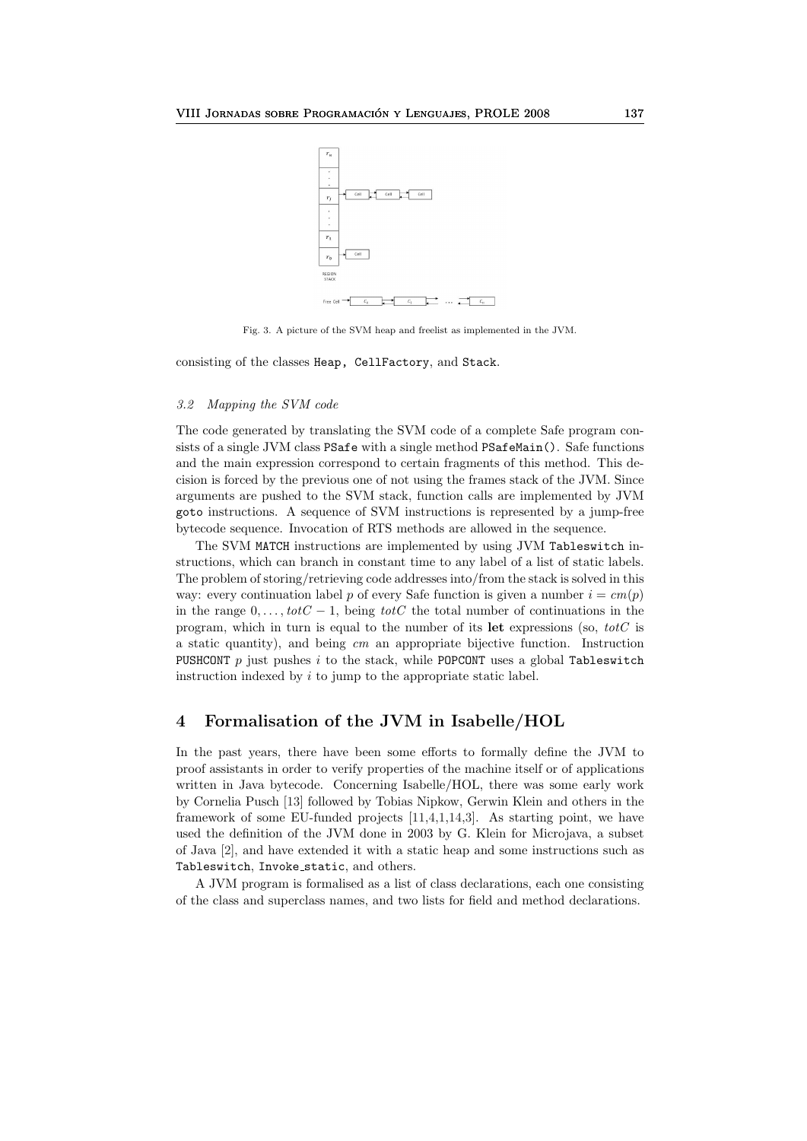

Fig. 3. A picture of the SVM heap and freelist as implemented in the JVM.

consisting of the classes Heap, CellFactory, and Stack.

#### 3.2 Mapping the SVM code

The code generated by translating the SVM code of a complete Safe program consists of a single JVM class PSafe with a single method PSafeMain(). Safe functions and the main expression correspond to certain fragments of this method. This decision is forced by the previous one of not using the frames stack of the JVM. Since arguments are pushed to the SVM stack, function calls are implemented by JVM goto instructions. A sequence of SVM instructions is represented by a jump-free bytecode sequence. Invocation of RTS methods are allowed in the sequence.

The SVM MATCH instructions are implemented by using JVM Tableswitch instructions, which can branch in constant time to any label of a list of static labels. The problem of storing/retrieving code addresses into/from the stack is solved in this way: every continuation label p of every Safe function is given a number  $i = cm(p)$ in the range  $0, \ldots, totC - 1$ , being totC the total number of continuations in the program, which in turn is equal to the number of its let expressions (so,  $\text{tot}C$  is a static quantity), and being cm an appropriate bijective function. Instruction PUSHCONT  $p$  just pushes  $i$  to the stack, while POPCONT uses a global Tableswitch instruction indexed by i to jump to the appropriate static label.

### 4 Formalisation of the JVM in Isabelle/HOL

In the past years, there have been some efforts to formally define the JVM to proof assistants in order to verify properties of the machine itself or of applications written in Java bytecode. Concerning Isabelle/HOL, there was some early work by Cornelia Pusch [13] followed by Tobias Nipkow, Gerwin Klein and others in the framework of some EU-funded projects [11,4,1,14,3]. As starting point, we have used the definition of the JVM done in 2003 by G. Klein for Microjava, a subset of Java [2], and have extended it with a static heap and some instructions such as Tableswitch, Invoke static, and others.

A JVM program is formalised as a list of class declarations, each one consisting of the class and superclass names, and two lists for field and method declarations.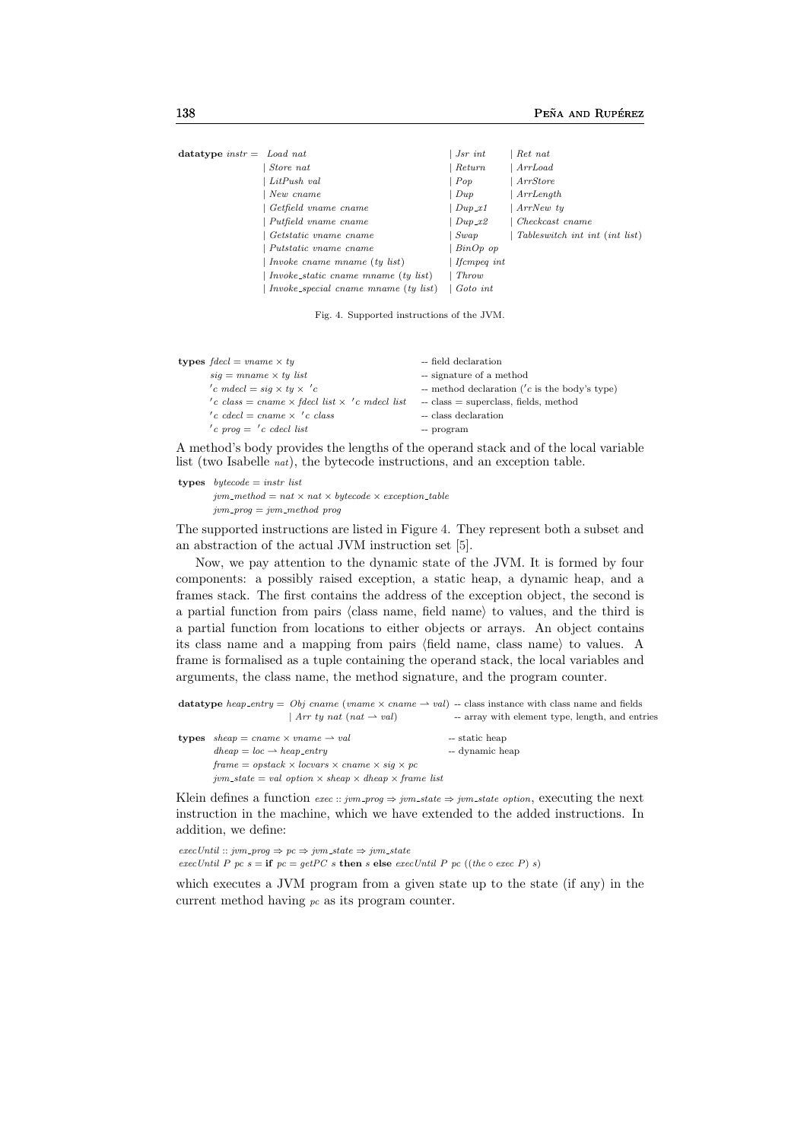| datatype instr = Load nat |                                      | Jsr int            | Ret nat                        |
|---------------------------|--------------------------------------|--------------------|--------------------------------|
|                           | Store nat                            | Return             | Arr Load                       |
|                           | LitPush val                          | Pop                | ArrStore                       |
|                           | New cname                            | $_{Dup}$           | ArrLength                      |
|                           | Getfield vname cname                 | $Dup\_x1$          | ArrNew ty                      |
|                           | Putfield vname cname                 | $Dup\_x2$          | Checkcast cname                |
|                           | Getstatic vname cname                | Swap               | Tableswitch int int (int list) |
|                           | Putstatic vname cname                | $BinOp$ op         |                                |
|                           | <i>Invoke cname mname (ty list)</i>  | <i>Ifcmpeq int</i> |                                |
|                           | Invoke_static cname mname (ty list)  | Throw              |                                |
|                           | Invoke_special cname mname (ty list) | Goto int           |                                |

Fig. 4. Supported instructions of the JVM.

| <b>types</b> $\text{fdecl} = \text{vname} \times \text{ty}$ | -- field declaration                             |
|-------------------------------------------------------------|--------------------------------------------------|
| $sig = man$ $x$ ty list                                     | -- signature of a method                         |
| 'c mdecl = $sig \times ty \times 'c$                        | -- method declaration ( $'c$ is the body's type) |
| 'c class = cname $\times$ fdecl list $\times$ 'c mdecl list | $\sim$ class $=$ superclass, fields, method      |
| $'c$ cdecl = cname $\times$ $'c$ class                      | -- class declaration                             |
| 'c prog $=$ 'c cdecl list                                   | -- program                                       |

A method's body provides the lengths of the operand stack and of the local variable list (two Isabelle nat), the bytecode instructions, and an exception table.

types  $bytecode = instr$  list

 $jvm\_method = nat \times nat \times bytecode \times exception\_table$  $jvm\_prog = jvm\_method$  prog

The supported instructions are listed in Figure 4. They represent both a subset and an abstraction of the actual JVM instruction set [5].

Now, we pay attention to the dynamic state of the JVM. It is formed by four components: a possibly raised exception, a static heap, a dynamic heap, and a frames stack. The first contains the address of the exception object, the second is a partial function from pairs  $\langle$  class name, field name $\rangle$  to values, and the third is a partial function from locations to either objects or arrays. An object contains its class name and a mapping from pairs (field name, class name) to values. A frame is formalised as a tuple containing the operand stack, the local variables and arguments, the class name, the method signature, and the program counter.

```
datatype heap_entry = Obj cname (vname \times cname \rightharpoonup val) -- class instance with class name and fields
                          | Arr ty nat (nat \rightarrow val) -- array with element type, length, and entries
types sheap = \text{cname} \times \text{vname} \rightarrow \text{val} -- static heap
        dheap = loc \rightarrow heap\_entry -- dynamic heap
        frame = opstack \times locvars \times caname \times sig \times pcjvm\_state = val\ option \times sheap \times dheap \times frame\ list
```
Klein defines a function  $exec::jvm\_prog \Rightarrow jvm\_state \Rightarrow jvm\_state\ option$ , executing the next instruction in the machine, which we have extended to the added instructions. In addition, we define:

 $execUntil :: jvm\_prog \Rightarrow pc \Rightarrow jvm\_state \Rightarrow jvm\_state$ execUntil P pc s = if  $pc = getPC$  s then s else execUntil P pc ((the  $\circ$  exec P) s)

which executes a JVM program from a given state up to the state (if any) in the current method having  $pc$  as its program counter.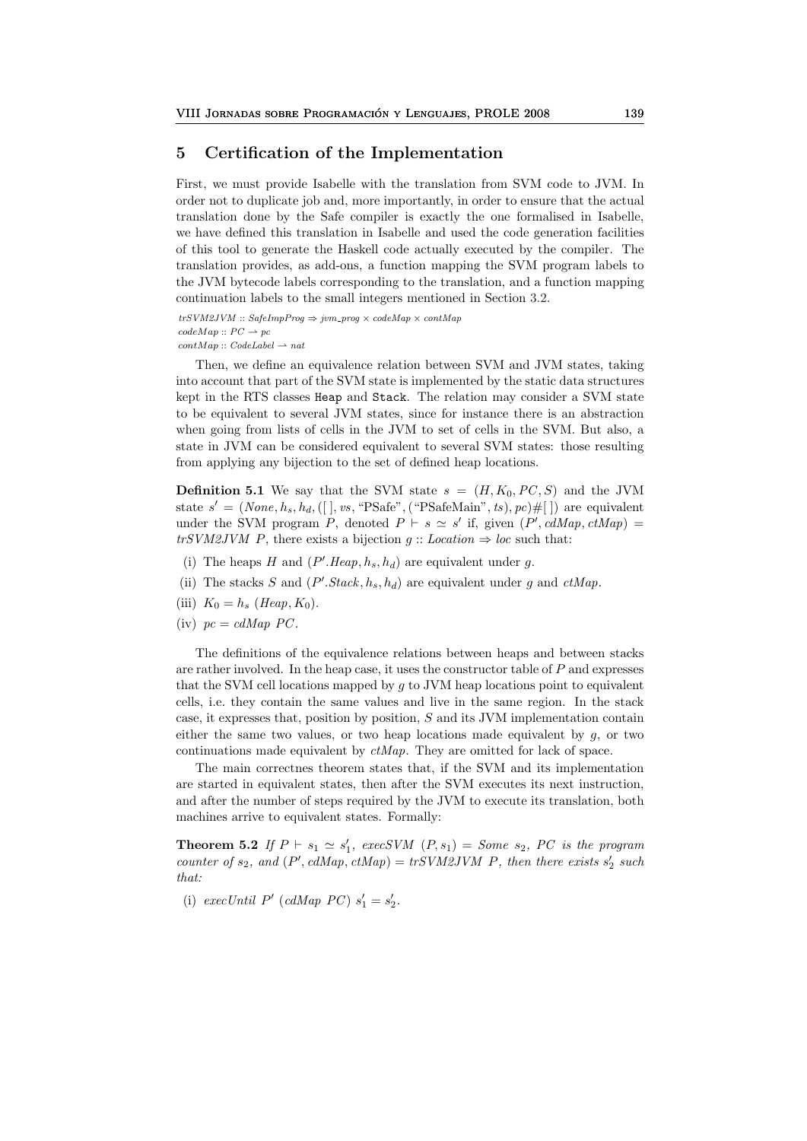### 5 Certification of the Implementation

First, we must provide Isabelle with the translation from SVM code to JVM. In order not to duplicate job and, more importantly, in order to ensure that the actual translation done by the Safe compiler is exactly the one formalised in Isabelle, we have defined this translation in Isabelle and used the code generation facilities of this tool to generate the Haskell code actually executed by the compiler. The translation provides, as add-ons, a function mapping the SVM program labels to the JVM bytecode labels corresponding to the translation, and a function mapping continuation labels to the small integers mentioned in Section 3.2.

 $trSVM2JVM :: SafelmpProg \Rightarrow jvm\_prog \times codeMap \times contMap$  $codeMap :: PC \rightarrow pc$  $contMap::CodeLabel \rightarrow nat$ 

Then, we define an equivalence relation between SVM and JVM states, taking into account that part of the SVM state is implemented by the static data structures kept in the RTS classes Heap and Stack. The relation may consider a SVM state to be equivalent to several JVM states, since for instance there is an abstraction when going from lists of cells in the JVM to set of cells in the SVM. But also, a state in JVM can be considered equivalent to several SVM states: those resulting from applying any bijection to the set of defined heap locations.

**Definition 5.1** We say that the SVM state  $s = (H, K_0, PC, S)$  and the JVM state  $s' = (None, h_s, h_d, ([] , vs, "PSafe", ("PSafeMain", ts), pc) #[] )$  are equivalent under the SVM program P, denoted  $P \vdash s \simeq s'$  if, given  $(P', \text{cdMap}, \text{ctMap}) =$ trSVM2JVM P, there exists a bijection  $g$ : Location  $\Rightarrow$  loc such that:

- (i) The heaps H and  $(P'.Heap, h_s, h_d)$  are equivalent under g.
- (ii) The stacks S and  $(P'.Stack, h_s, h_d)$  are equivalent under g and  $ctMap$ .
- (iii)  $K_0 = h_s$  (*Heap*,  $K_0$ ).
- (iv)  $pc = cdMap PC$ .

The definitions of the equivalence relations between heaps and between stacks are rather involved. In the heap case, it uses the constructor table of P and expresses that the SVM cell locations mapped by  $q$  to JVM heap locations point to equivalent cells, i.e. they contain the same values and live in the same region. In the stack case, it expresses that, position by position, S and its JVM implementation contain either the same two values, or two heap locations made equivalent by  $g$ , or two continuations made equivalent by ctMap. They are omitted for lack of space.

The main correctnes theorem states that, if the SVM and its implementation are started in equivalent states, then after the SVM executes its next instruction, and after the number of steps required by the JVM to execute its translation, both machines arrive to equivalent states. Formally:

**Theorem 5.2** If  $P \vdash s_1 \simeq s'_1$ , execSVM  $(P, s_1) = Some s_2$ , PC is the program counter of  $s_2$ , and  $(P', cdMap, ctMap) = trSVM2JVM$  P, then there exists  $s_2'$  such that:

(i) execUntil P' (cdMap PC)  $s'_1 = s'_2$ .